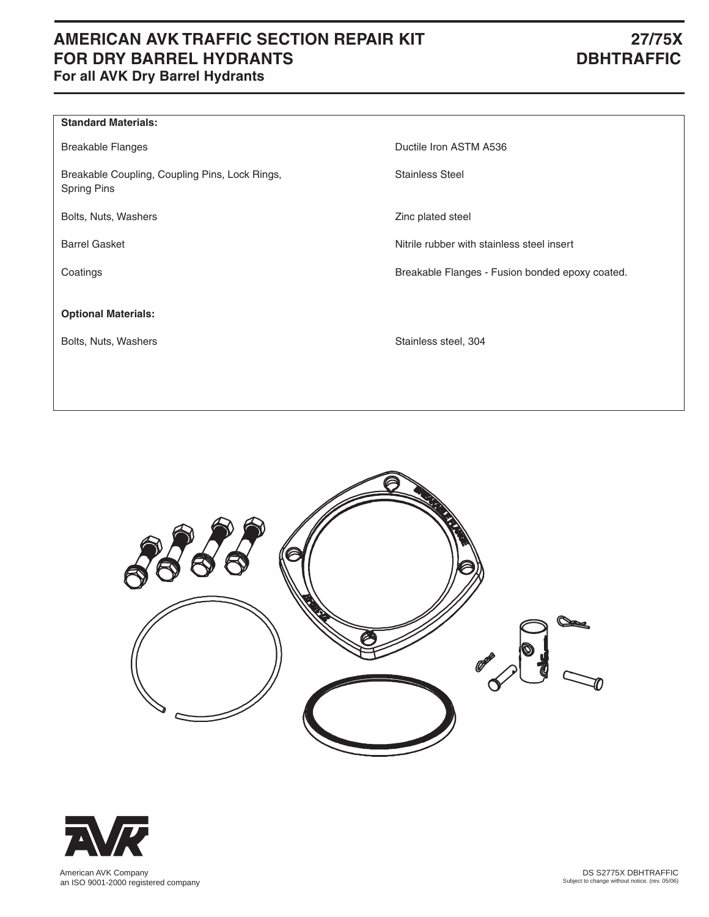# **AMERICAN AVK TRAFFIC SECTION REPAIR KIT 27/75X FOR DRY BARREL HYDRANTS** DBHTRAFFIC **For all AVK Dry Barrel Hydrants**

| Ductile Iron ASTM A536                          |
|-------------------------------------------------|
| <b>Stainless Steel</b>                          |
| Zinc plated steel                               |
| Nitrile rubber with stainless steel insert      |
| Breakable Flanges - Fusion bonded epoxy coated. |
|                                                 |
| Stainless steel, 304                            |
|                                                 |





 American AVK Company an ISO 9001-2000 registered company